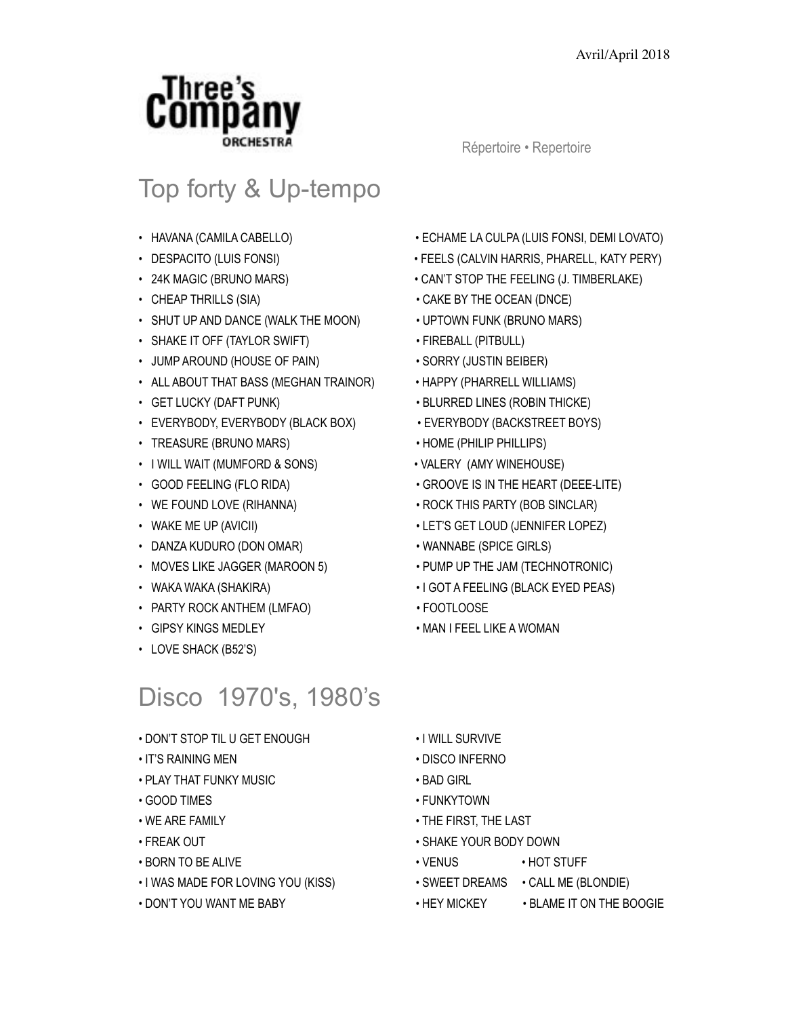

## Top forty & Up-tempo

- HAVANA (CAMILA CABELLO) ECHAME LA CULPA (LUIS FONSI, DEMI LOVATO)
- DESPACITO (LUIS FONSI) FEELS (CALVIN HARRIS, PHARELL, KATY PERY)
- 24K MAGIC (BRUNO MARS) CAN'T STOP THE FEELING (J. TIMBERLAKE)
- CHEAP THRILLS (SIA) CAKE BY THE OCEAN (DNCE)
- SHUT UP AND DANCE (WALK THE MOON) UPTOWN FUNK (BRUNO MARS)
- SHAKE IT OFF (TAYLOR SWIFT) FIREBALL (PITBULL)
- JUMP AROUND (HOUSE OF PAIN) SORRY (JUSTIN BEIBER)
- ALL ABOUT THAT BASS (MEGHAN TRAINOR) HAPPY (PHARRELL WILLIAMS)
- GET LUCKY (DAFT PUNK) BLURRED LINES (ROBIN THICKE)
- EVERYBODY, EVERYBODY (BLACK BOX) EVERYBODY (BACKSTREET BOYS)
- TREASURE (BRUNO MARS) HOME (PHILIP PHILLIPS)
- I WILL WAIT (MUMFORD & SONS) VALERY (AMY WINEHOUSE)
- 
- 
- 
- 
- 
- WAKA WAKA (SHAKIRA) I GOT A FEELING (BLACK EYED PEAS)
- PARTY ROCK ANTHEM (LMFAO) FOOTLOOSE
- 
- 
- 
- 
- 
- 
- 
- LOVE SHACK (B52'S)
- 

# Disco 1970's, 1980's

- 
- 

• IT'S RAINING MEN • DISCO INFERNO

• WE ARE FAMILY **• THE FIRST, THE LAST** • FREAK OUT • SHAKE YOUR BODY DOWN • BORN TO BE ALIVE • VENUS • HOT STUFF

• I WAS MADE FOR LOVING YOU (KISS) • SWEET DREAMS • CALL ME (BLONDIE)

• DON'T YOU WANT ME BABY • HEY MICKEY • BLAME IT ON THE BOOGIE

• PLAY THAT FUNKY MUSIC • BAD GIRL • GOOD TIMES • FUNKYTOWN

- DON'T STOP TIL U GET ENOUGH I WILL SURVIVE
- 
- GIPSY KINGS MEDLEY MAN I FEEL LIKE A WOMAN
- 
- 
- 
- 
- 
- 
- 
- 
- 
- 
- 
- 
- 
- 
- 
- 
- 
- 
- 
- 

Répertoire • Repertoire

- 
- MOVES LIKE JAGGER (MAROON 5) PUMP UP THE JAM (TECHNOTRONIC)

## • DANZA KUDURO (DON OMAR) • WANNABE (SPICE GIRLS)

- WAKE ME UP (AVICII)  $\qquad \qquad$  LET'S GET LOUD (JENNIFER LOPEZ)
- 
- 
- GOOD FEELING (FLO RIDA) GROOVE IS IN THE HEART (DEEE-LITE)
	-
- WE FOUND LOVE (RIHANNA)  **ROCK THIS PARTY (BOB SINCLAR)** 
	-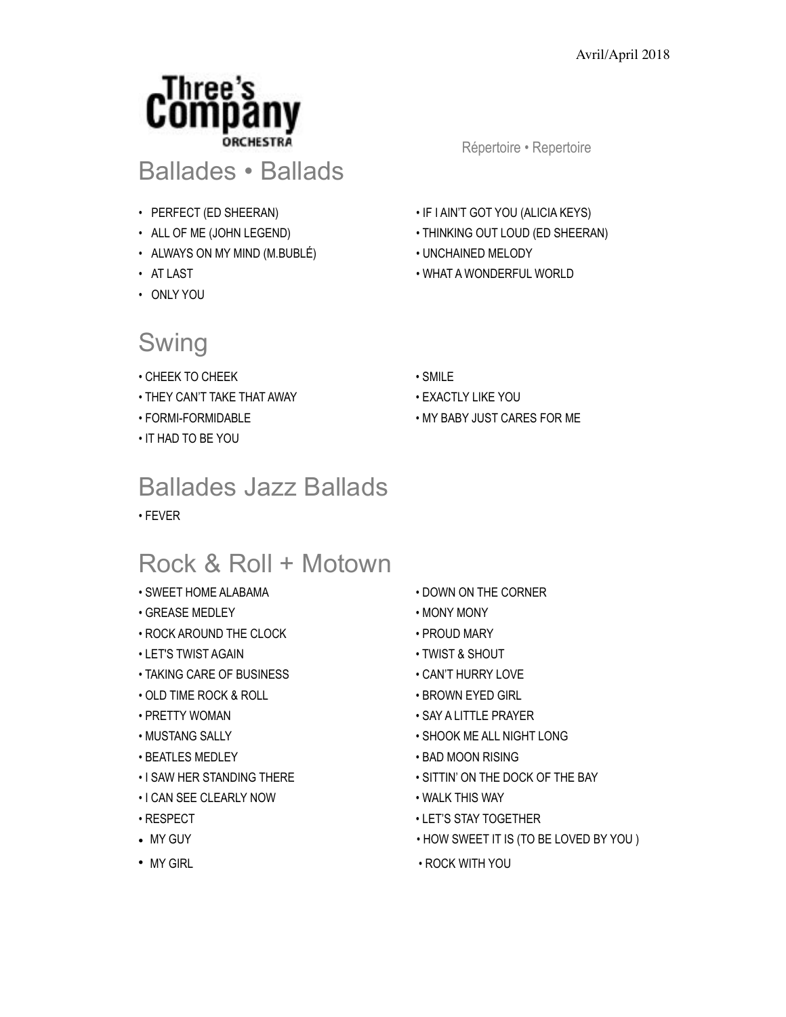

### Ballades • Ballads

- 
- 
- ALWAYS ON MY MIND (M.BUBLÉ) UNCHAINED MELODY
- 
- ONLY YOU

### Swing

- CHEEK TO CHEEK SMILE
- THEY CAN'T TAKE THAT AWAY EXACTLY LIKE YOU
- 
- IT HAD TO BE YOU

### Ballades Jazz Ballads

• FEVER

### Rock & Roll + Motown

- 
- GREASE MEDLEY MONY MONY
- ROCK AROUND THE CLOCK PROUD MARY
- LET'S TWIST AGAIN TWIST & SHOUT
- TAKING CARE OF BUSINESS CAN'T HURRY LOVE
- OLD TIME ROCK & ROLL BROWN EYED GIRL
- 
- 
- 
- 
- I CAN SEE CLEARLY NOW WALK THIS WAY
- 
- 
- 

Répertoire • Repertoire

- PERFECT (ED SHEERAN) IF I AIN'T GOT YOU (ALICIA KEYS)
- ALL OF ME (JOHN LEGEND) THINKING OUT LOUD (ED SHEERAN)
	-
- AT LAST WHAT A WONDERFUL WORLD
	-
	-
- FORMI-FORMIDABLE MY BABY JUST CARES FOR ME

- SWEET HOME ALABAMA DOWN ON THE CORNER
	-
	-
	-
	-
	-
- PRETTY WOMAN SAY A LITTLE PRAYER
- MUSTANG SALLY SHOOK ME ALL NIGHT LONG
- BEATLES MEDLEY BAD MOON RISING
- I SAW HER STANDING THERE SITTIN' ON THE DOCK OF THE BAY
	-
- RESPECT CHECK CONTROLLER LET'S STAY TOGETHER
- MY GUY HOW SWEET IT IS (TO BE LOVED BY YOU )
- MY GIRL COCK WITH YOU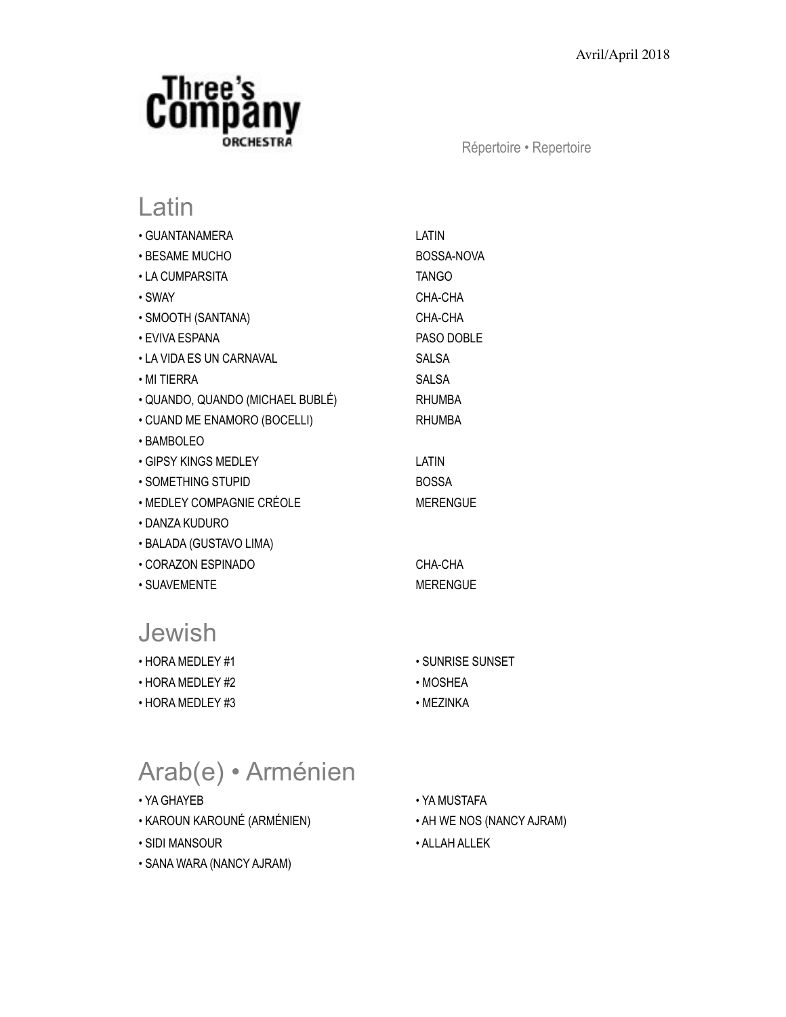

Répertoire • Repertoire

### Latin

| • GUANTANAMERA                   | LATIN           |
|----------------------------------|-----------------|
| • BESAME MUCHO                   | BOSSA-NOVA      |
| • LA CUMPARSITA                  | <b>TANGO</b>    |
| • SWAY                           | CHA-CHA         |
| • SMOOTH (SANTANA)               | CHA-CHA         |
| • EVIVA ESPANA                   | PASO DOBLE      |
| • LA VIDA ES UN CARNAVAL         | SALSA           |
| $\boldsymbol{\cdot}$ MI TIERRA   | <b>SALSA</b>    |
| • QUANDO, QUANDO (MICHAEL BUBLÉ) | <b>RHUMBA</b>   |
| • CUAND ME ENAMORO (BOCELLI)     | <b>RHUMBA</b>   |
| • BAMBOLEO                       |                 |
| • GIPSY KINGS MEDLEY             | LATIN           |
| • SOMETHING STUPID               | <b>BOSSA</b>    |
| • MEDLEY COMPAGNIE CRÉOLE        | <b>MERENGUE</b> |
| • DANZA KUDURO                   |                 |
| • BALADA (GUSTAVO LIMA)          |                 |
| • CORAZON ESPINADO               | CHA-CHA         |
| • SUAVEMENTE                     | <b>MERENGUE</b> |

### Jewish

- HORA MEDLEY #2 MOSHEA
- HORA MEDLEY #3 MEZINKA
- $\cdot$  SUNRISE SUNSET
- 
- 

# Arab(e) • Arménien

- 
- KAROUN KAROUNÉ (ARMÉNIEN) AH WE NOS (NANCY AJRAM)
- SIDI MANSOUR ALLAH ALLEK
- SANA WARA (NANCY AJRAM)
- YA GHAYEB YA MUSTAFA
	-
	-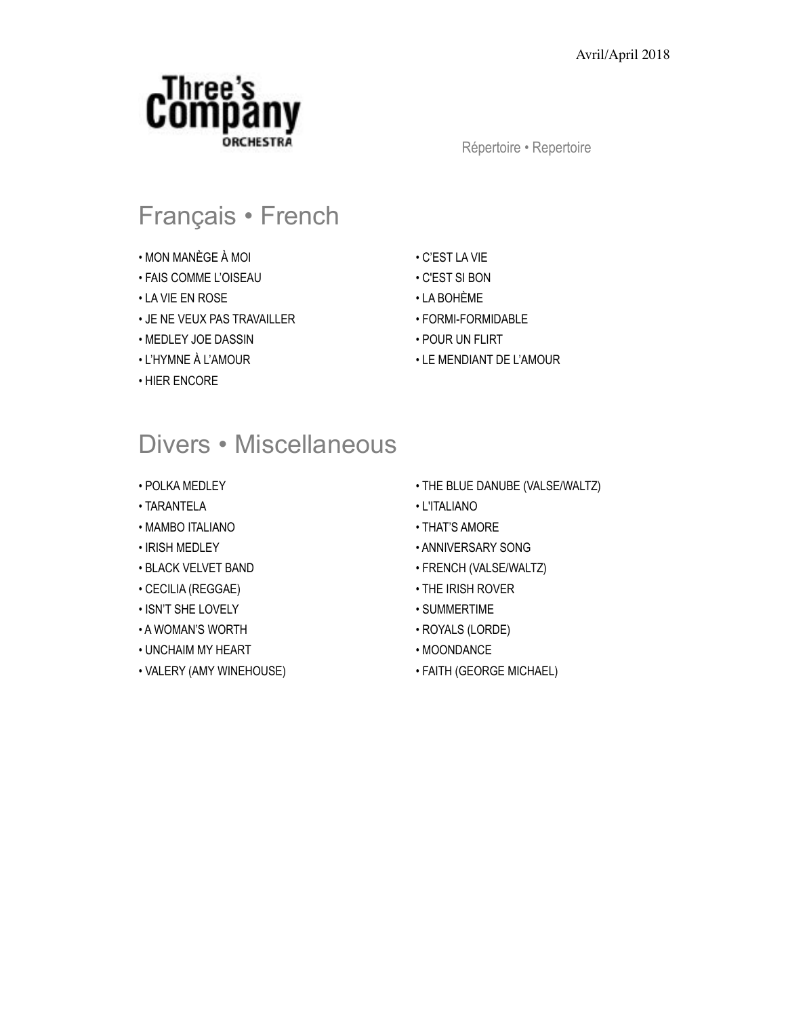

Répertoire • Repertoire

## Français • French

- MON MANÈGE À MOI C'EST LA VIE
- FAIS COMME L'OISEAU C'EST SI BON
- LA VIE EN ROSE LA BOHÈME
- JE NE VEUX PAS TRAVAILLER FORMI-FORMIDABLE
- MEDLEY JOE DASSIN POUR UN FLIRT
- 
- HIER ENCORE
- 
- 
- 
- 
- 
- L'HYMNE À L'AMOUR LE MENDIANT DE L'AMOUR

### Divers • Miscellaneous

- 
- TARANTELA L'ITALIANO
- MAMBO ITALIANO THAT'S AMORE
- 
- 
- CECILIA (REGGAE) THE IRISH ROVER
- ISN'T SHE LOVELY SUMMERTIME
- A WOMAN'S WORTH ROYALS (LORDE)
- UNCHAIM MY HEART MOONDANCE
- VALERY (AMY WINEHOUSE) FAITH (GEORGE MICHAEL)
- POLKA MEDLEY THE BLUE DANUBE (VALSE/WALTZ)
	-
	-
- IRISH MEDLEY ANNIVERSARY SONG
- BLACK VELVET BAND FRENCH (VALSE/WALTZ)
	-
	-
	-
	-
	-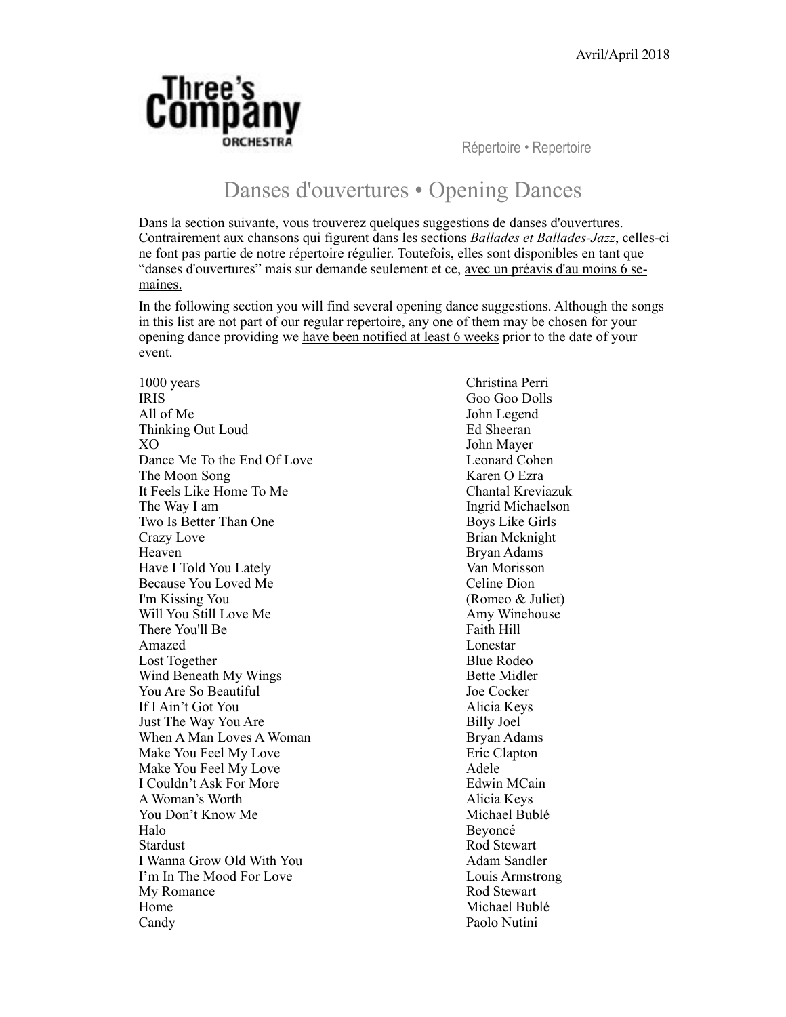

Répertoire • Repertoire

### Danses d'ouvertures • Opening Dances

Dans la section suivante, vous trouverez quelques suggestions de danses d'ouvertures. Contrairement aux chansons qui figurent dans les sections *Ballades et Ballades-Jazz*, celles-ci ne font pas partie de notre répertoire régulier. Toutefois, elles sont disponibles en tant que "danses d'ouvertures" mais sur demande seulement et ce, avec un préavis d'au moins 6 semaines.

In the following section you will find several opening dance suggestions. Although the songs in this list are not part of our regular repertoire, any one of them may be chosen for your opening dance providing we have been notified at least 6 weeks prior to the date of your event.

IRIS Goo Goo Dolls All of Me John Legend Thinking Out Loud Ed Sheeran XO John Mayer Dance Me To the End Of Love Leonard Cohen The Moon Song Karen O Ezra It Feels Like Home To Me The Way I am Ingrid Michaelson Two Is Better Than One Boys Like Girls Crazy Love Brian Mcknight Heaven Bryan Adams Have I Told You Lately Van Morisson Because You Loved Me Celine Dion I'm Kissing You (Romeo & Juliet) Will You Still Love Me Amy Winehouse There You'll Be Faith Hill Amazed Lonestar Lost Together **Blue Rodeo** Wind Beneath My Wings Bette Midler You Are So Beautiful Joe Cocker If I Ain't Got You Alicia Keys Just The Way You Are Billy Joel When A Man Loves A Woman Bryan Adams Make You Feel My Love Eric Clapton Make You Feel My Love **Adele** Adele I Couldn't Ask For More Edwin MCain A Woman's Worth Alicia Keys You Don't Know Me Nichael Bublé Halo Beyoncé Stardust Rod Stewart I Wanna Grow Old With You **Adam Sandler** I'm In The Mood For Love Louis Armstrong My Romance Rod Stewart Home Michael Bublé Candy Paolo Nutini

1000 years Christina Perri